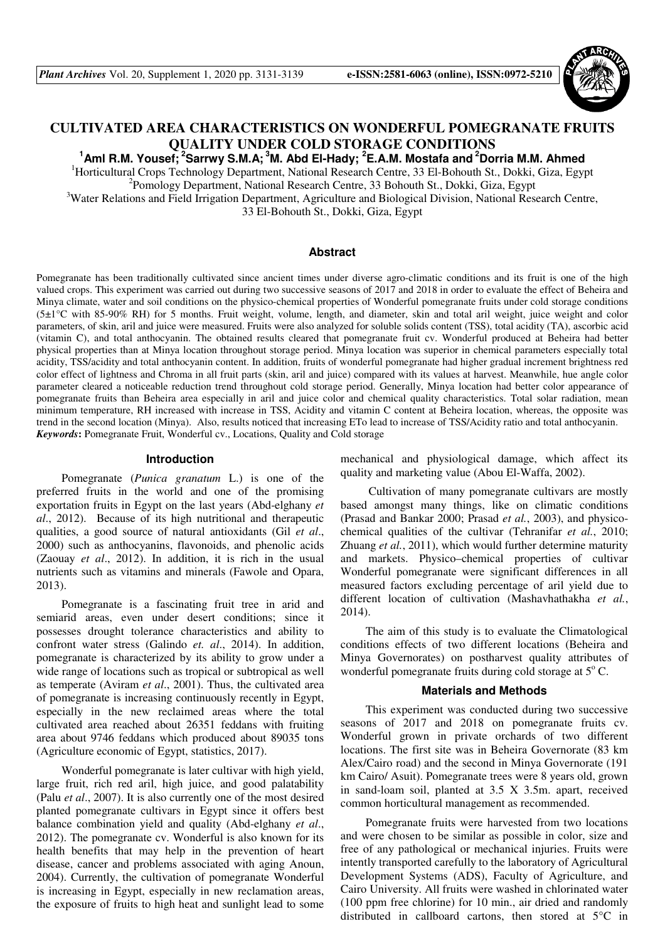

# **CULTIVATED AREA CHARACTERISTICS ON WONDERFUL POMEGRANATE FRUITS QUALITY UNDER COLD STORAGE CONDITIONS**

**<sup>1</sup>Aml R.M. Yousef;<sup>2</sup>Sarrwy S.M.A;<sup>3</sup>M. Abd El-Hady; <sup>2</sup>E.A.M. Mostafa and<sup>2</sup>Dorria M.M. Ahmed**

<sup>1</sup>Horticultural Crops Technology Department, National Research Centre, 33 El-Bohouth St., Dokki, Giza, Egypt <sup>2</sup> Pomology Department, National Research Centre, 33 Bohouth St., Dokki, Giza, Egypt

<sup>3</sup>Water Relations and Field Irrigation Department, Agriculture and Biological Division, National Research Centre,

33 El-Bohouth St., Dokki, Giza, Egypt

# **Abstract**

Pomegranate has been traditionally cultivated since ancient times under diverse agro-climatic conditions and its fruit is one of the high valued crops. This experiment was carried out during two successive seasons of 2017 and 2018 in order to evaluate the effect of Beheira and Minya climate, water and soil conditions on the physico-chemical properties of Wonderful pomegranate fruits under cold storage conditions  $(5\pm1)$ °C with 85-90% RH) for 5 months. Fruit weight, volume, length, and diameter, skin and total aril weight, juice weight and color parameters, of skin, aril and juice were measured. Fruits were also analyzed for soluble solids content (TSS), total acidity (TA), ascorbic acid (vitamin C), and total anthocyanin. The obtained results cleared that pomegranate fruit cv. Wonderful produced at Beheira had better physical properties than at Minya location throughout storage period. Minya location was superior in chemical parameters especially total acidity, TSS/acidity and total anthocyanin content. In addition, fruits of wonderful pomegranate had higher gradual increment brightness red color effect of lightness and Chroma in all fruit parts (skin, aril and juice) compared with its values at harvest. Meanwhile, hue angle color parameter cleared a noticeable reduction trend throughout cold storage period. Generally, Minya location had better color appearance of pomegranate fruits than Beheira area especially in aril and juice color and chemical quality characteristics. Total solar radiation, mean minimum temperature, RH increased with increase in TSS, Acidity and vitamin C content at Beheira location, whereas, the opposite was trend in the second location (Minya). Also, results noticed that increasing ETo lead to increase of TSS/Acidity ratio and total anthocyanin. *Keywords***:** Pomegranate Fruit, Wonderful cv., Locations, Quality and Cold storage

#### **Introduction**

Pomegranate (*Punica granatum* L.) is one of the preferred fruits in the world and one of the promising exportation fruits in Egypt on the last years (Abd-elghany *et al*., 2012). Because of its high nutritional and therapeutic qualities, a good source of natural antioxidants (Gil *et al*., 2000) such as anthocyanins, flavonoids, and phenolic acids (Zaouay *et al*., 2012). In addition, it is rich in the usual nutrients such as vitamins and minerals (Fawole and Opara, 2013).

Pomegranate is a fascinating fruit tree in arid and semiarid areas, even under desert conditions; since it possesses drought tolerance characteristics and ability to confront water stress (Galindo *et. al*., 2014). In addition, pomegranate is characterized by its ability to grow under a wide range of locations such as tropical or subtropical as well as temperate (Aviram *et al*., 2001). Thus, the cultivated area of pomegranate is increasing continuously recently in Egypt, especially in the new reclaimed areas where the total cultivated area reached about 26351 feddans with fruiting area about 9746 feddans which produced about 89035 tons (Agriculture economic of Egypt, statistics, 2017).

Wonderful pomegranate is later cultivar with high yield, large fruit, rich red aril, high juice, and good palatability (Palu *et al*., 2007). It is also currently one of the most desired planted pomegranate cultivars in Egypt since it offers best balance combination yield and quality (Abd-elghany *et al*., 2012). The pomegranate cv. Wonderful is also known for its health benefits that may help in the prevention of heart disease, cancer and problems associated with aging Anoun, 2004). Currently, the cultivation of pomegranate Wonderful is increasing in Egypt, especially in new reclamation areas, the exposure of fruits to high heat and sunlight lead to some

mechanical and physiological damage, which affect its quality and marketing value (Abou El-Waffa, 2002).

 Cultivation of many pomegranate cultivars are mostly based amongst many things, like on climatic conditions (Prasad and Bankar 2000; Prasad *et al.*, 2003), and physicochemical qualities of the cultivar (Tehranifar *et al.*, 2010; Zhuang *et al.*, 2011), which would further determine maturity and markets. Physico–chemical properties of cultivar Wonderful pomegranate were significant differences in all measured factors excluding percentage of aril yield due to different location of cultivation (Mashavhathakha *et al.*, 2014).

The aim of this study is to evaluate the Climatological conditions effects of two different locations (Beheira and Minya Governorates) on postharvest quality attributes of wonderful pomegranate fruits during cold storage at  $5^{\circ}$  C.

## **Materials and Methods**

This experiment was conducted during two successive seasons of 2017 and 2018 on pomegranate fruits cv. Wonderful grown in private orchards of two different locations. The first site was in Beheira Governorate (83 km Alex/Cairo road) and the second in Minya Governorate (191 km Cairo/ Asuit). Pomegranate trees were 8 years old, grown in sand-loam soil, planted at 3.5 X 3.5m. apart, received common horticultural management as recommended.

Pomegranate fruits were harvested from two locations and were chosen to be similar as possible in color, size and free of any pathological or mechanical injuries. Fruits were intently transported carefully to the laboratory of Agricultural Development Systems (ADS), Faculty of Agriculture, and Cairo University. All fruits were washed in chlorinated water (100 ppm free chlorine) for 10 min., air dried and randomly distributed in callboard cartons, then stored at 5**°**C in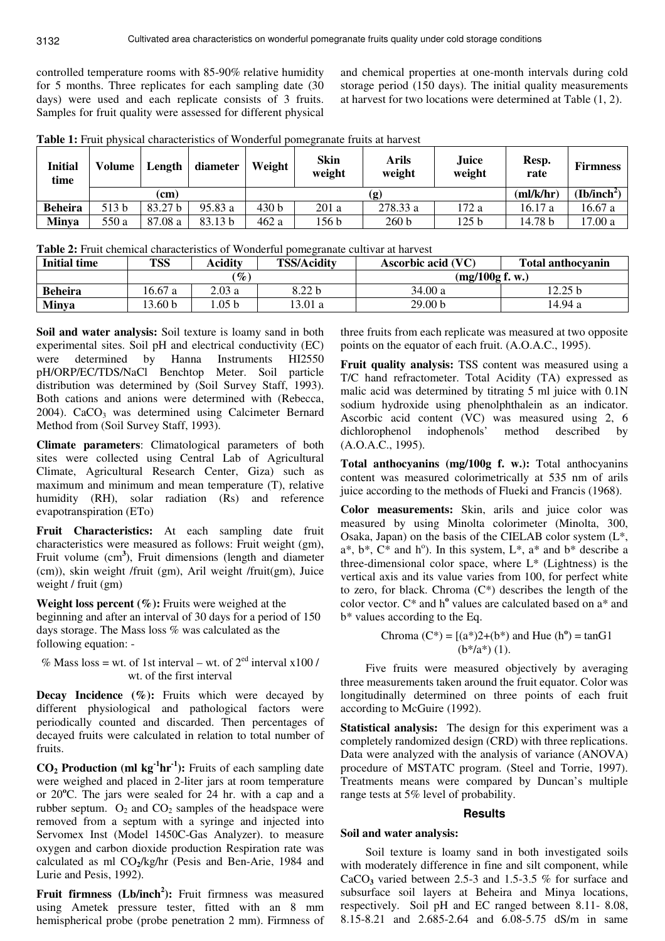controlled temperature rooms with 85-90% relative humidity for 5 months. Three replicates for each sampling date (30 days) were used and each replicate consists of 3 fruits. Samples for fruit quality were assessed for different physical

and chemical properties at one-month intervals during cold storage period (150 days). The initial quality measurements at harvest for two locations were determined at Table (1, 2).

| Initial<br>time | Volume | Length  | diameter           | Weight           | Skin<br>weight | Arils<br>weight | Juice<br>weight         | Resp.<br>rate | <b>Firmness</b> |
|-----------------|--------|---------|--------------------|------------------|----------------|-----------------|-------------------------|---------------|-----------------|
|                 | (cm)   |         |                    |                  |                | (ml/k/hr)       | (Ib/inch <sup>2</sup> ) |               |                 |
| <b>Beheira</b>  | 513 b  | 83.27 b | 95.83 a            | 430 <sub>b</sub> | 201a           | 278.33 a        | 172 a                   | 16.17 a       | 16.67a          |
| <b>Minya</b>    | 550 a  | 87.08 a | 83.13 <sub>b</sub> | 462a             | 156 b          | 260 b           | 125 <sub>b</sub>        | 14.78 b       | 17.00 a         |

**Table 1:** Fruit physical characteristics of Wonderful pomegranate fruits at harvest

**Table 2:** Fruit chemical characteristics of Wonderful pomegranate cultivar at harvest

| <b>Initial time</b> | <b>TSS</b>        | <b>Acidity</b>  | <b>TSS/Acidity</b> | Ascorbic acid (VC) | <b>Total anthocyanin</b> |  |
|---------------------|-------------------|-----------------|--------------------|--------------------|--------------------------|--|
|                     |                   | $\mathscr{G}_o$ |                    | (mg/100g f. w.)    |                          |  |
| <b>Beheira</b>      | 16.67a            | 2.03a           | 8.22 <sub>b</sub>  | 34.00 a            | 12.25 b                  |  |
| <b>Minya</b>        | 3.60 <sub>b</sub> | .05 b           | 3.01 a             | 29.00 b            | 14.94 a                  |  |

**Soil and water analysis:** Soil texture is loamy sand in both experimental sites. Soil pH and electrical conductivity (EC) were determined by Hanna Instruments HI2550 pH/ORP/EC/TDS/NaCl Benchtop Meter. Soil particle distribution was determined by (Soil Survey Staff, 1993). Both cations and anions were determined with (Rebecca,  $2004$ ). CaCO<sub>3</sub> was determined using Calcimeter Bernard Method from (Soil Survey Staff, 1993).

**Climate parameters**: Climatological parameters of both sites were collected using Central Lab of Agricultural Climate, Agricultural Research Center, Giza) such as maximum and minimum and mean temperature (T), relative humidity (RH), solar radiation (Rs) and reference evapotranspiration (ETo)

**Fruit Characteristics:** At each sampling date fruit characteristics were measured as follows: Fruit weight (gm), Fruit volume (cm**<sup>3</sup>** ), Fruit dimensions (length and diameter (cm)), skin weight /fruit (gm), Aril weight /fruit(gm), Juice weight / fruit (gm)

**Weight loss percent (%):** Fruits were weighed at the beginning and after an interval of 30 days for a period of 150 days storage. The Mass loss % was calculated as the following equation: -

% Mass loss = wt. of 1st interval – wt. of  $2<sup>ed</sup>$  interval x100 / wt. of the first interval

**Decay Incidence** (%): Fruits which were decayed by different physiological and pathological factors were periodically counted and discarded. Then percentages of decayed fruits were calculated in relation to total number of fruits.

 $CO<sub>2</sub>$  **Production (ml kg**<sup>**-1</sup><b>hr**<sup>-1</sup>): Fruits of each sampling date</sup> were weighed and placed in 2-liter jars at room temperature or 20**<sup>o</sup>**C. The jars were sealed for 24 hr. with a cap and a rubber septum.  $O_2$  and  $CO_2$  samples of the headspace were removed from a septum with a syringe and injected into Servomex Inst (Model 1450C-Gas Analyzer). to measure oxygen and carbon dioxide production Respiration rate was calculated as ml CO**2**/kg/hr (Pesis and Ben-Arie, 1984 and Lurie and Pesis, 1992).

**Fruit firmness (Lb/inch<sup>2</sup> ):** Fruit firmness was measured using Ametek pressure tester, fitted with an 8 mm hemispherical probe (probe penetration 2 mm). Firmness of

three fruits from each replicate was measured at two opposite points on the equator of each fruit. (A.O.A.C., 1995).

**Fruit quality analysis:** TSS content was measured using a T/C hand refractometer. Total Acidity (TA) expressed as malic acid was determined by titrating 5 ml juice with  $0.1N$ sodium hydroxide using phenolphthalein as an indicator. Ascorbic acid content (VC) was measured using 2, 6 dichlorophenol indophenols' method described by (A.O.A.C., 1995).

**Total anthocyanins (mg/100g f. w.):** Total anthocyanins content was measured colorimetrically at 535 nm of arils juice according to the methods of Flueki and Francis (1968).

**Color measurements:** Skin, arils and juice color was measured by using Minolta colorimeter (Minolta, 300, Osaka, Japan) on the basis of the CIELAB color system  $(L^*,$  $a^*$ ,  $b^*$ ,  $C^*$  and  $h^0$ ). In this system,  $L^*$ ,  $a^*$  and  $b^*$  describe a three-dimensional color space, where  $L^*$  (Lightness) is the vertical axis and its value varies from 100, for perfect white to zero, for black. Chroma  $(C^*)$  describes the length of the color vector. C<sup>\*</sup> and h<sup>o</sup> values are calculated based on a<sup>\*</sup> and b\* values according to the Eq.

Chroma (C\*) = [(a\*)2+(b\*) and Hue (h**<sup>o</sup>** ) = tanG1 (b\*/a\*) (1).

Five fruits were measured objectively by averaging three measurements taken around the fruit equator. Color was longitudinally determined on three points of each fruit according to McGuire (1992).

**Statistical analysis:** The design for this experiment was a completely randomized design (CRD) with three replications. Data were analyzed with the analysis of variance (ANOVA) procedure of MSTATC program. (Steel and Torrie, 1997). Treatments means were compared by Duncan's multiple range tests at 5% level of probability.

# **Results**

#### **Soil and water analysis:**

Soil texture is loamy sand in both investigated soils with moderately difference in fine and silt component, while CaCO**3** varied between 2.5-3 and 1.5-3.5 % for surface and subsurface soil layers at Beheira and Minya locations, respectively. Soil pH and EC ranged between 8.11- 8.08, 8.15-8.21 and 2.685-2.64 and 6.08-5.75 dS/m in same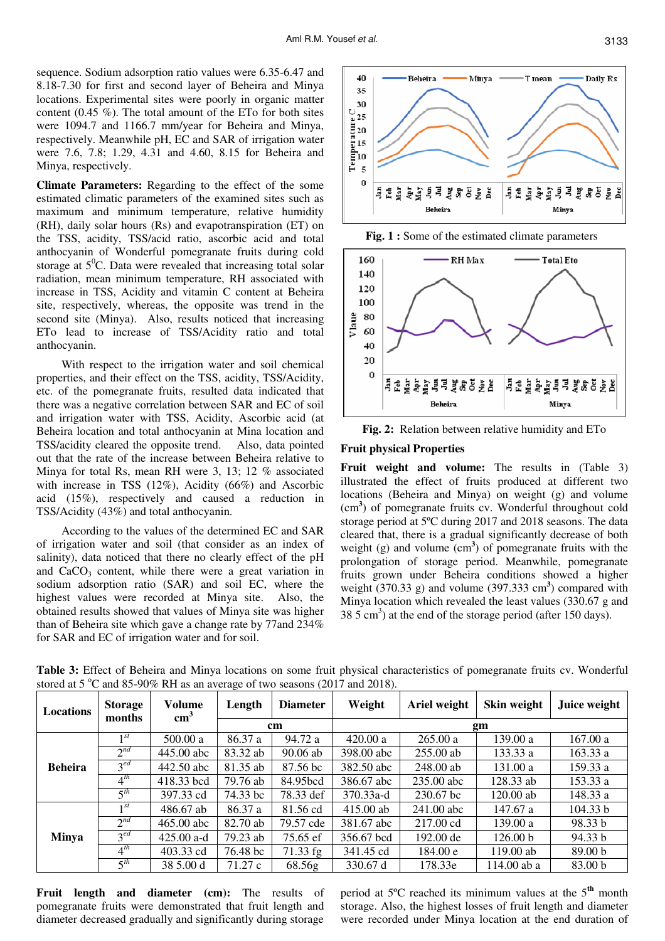sequence. Sodium adsorption ratio values were 6.35-6.47 and 8.18-7.30 for first and second layer of Beheira and Minya locations. Experimental sites were poorly in organic matter content (0.45 %). The total amount of the ETo for both sites were 1094.7 and 1166.7 mm/year for Beheira and Minya, respectively. Meanwhile pH, EC and SAR of irrigation water were 7.6, 7.8; 1.29, 4.31 and 4.60, 8.15 for Beheira and Minya, respectively.

**Climate Parameters:** Regarding to the effect of the some estimated climatic parameters of the examined sites such as maximum and minimum temperature, relative humidity (RH), daily solar hours (Rs) and evapotranspiration (ET) on the TSS, acidity, TSS/acid ratio, ascorbic acid and total anthocyanin of Wonderful pomegranate fruits during cold storage at  $5^{\circ}$ C. Data were revealed that increasing total solar radiation, mean minimum temperature, RH associated with increase in TSS, Acidity and vitamin C content at Beheira site, respectively, whereas, the opposite was trend in the second site (Minya). Also, results noticed that increasing ETo lead to increase of TSS/Acidity ratio and total anthocyanin.

With respect to the irrigation water and soil chemical properties, and their effect on the TSS, acidity, TSS/Acidity, etc. of the pomegranate fruits, resulted data indicated that there was a negative correlation between SAR and EC of soil and irrigation water with TSS, Acidity, Ascorbic acid (at Beheira location and total anthocyanin at Mina location and TSS/acidity cleared the opposite trend. Also, data pointed out that the rate of the increase between Beheira relative to Minya for total Rs, mean RH were 3, 13; 12 % associated with increase in TSS (12%), Acidity (66%) and Ascorbic acid (15%), respectively and caused a reduction in TSS/Acidity (43%) and total anthocyanin.

According to the values of the determined EC and SAR of irrigation water and soil (that consider as an index of salinity), data noticed that there no clearly effect of the pH and  $CaCO<sub>3</sub>$  content, while there were a great variation in sodium adsorption ratio (SAR) and soil EC, where the highest values were recorded at Minya site. Also, the obtained results showed that values of Minya site was higher than of Beheira site which gave a change rate by 77and 234% for SAR and EC of irrigation water and for soil.



**Fig. 1 :** Some of the estimated climate parameters





## **Fruit physical Properties**

**Fruit weight and volume:** The results in (Table 3) illustrated the effect of fruits produced at different two locations (Beheira and Minya) on weight (g) and volume (cm**<sup>3</sup>** ) of pomegranate fruits cv. Wonderful throughout cold storage period at 5ºC during 2017 and 2018 seasons. The data cleared that, there is a gradual significantly decrease of both weight (g) and volume (cm<sup>3</sup>) of pomegranate fruits with the prolongation of storage period. Meanwhile, pomegranate fruits grown under Beheira conditions showed a higher weight  $(370.33 \text{ g})$  and volume  $(397.333 \text{ cm}^3)$  compared with Minya location which revealed the least values (330.67 g and  $38.5 \text{ cm}^3$ ) at the end of the storage period (after 150 days).

| <b>Locations</b> | <b>Storage</b><br>months | Volume<br>$\text{cm}^3$ | Length   | <b>Diameter</b> | Weight      | Ariel weight | Skin weight | Juice weight       |
|------------------|--------------------------|-------------------------|----------|-----------------|-------------|--------------|-------------|--------------------|
|                  |                          |                         |          | <sub>cm</sub>   | gm          |              |             |                    |
| <b>Beheira</b>   | $\mathbf{1}$ St          | 500.00 a                | 86.37 a  | 94.72 a         | 420.00 a    | 265.00a      | 139.00 a    | 167.00a            |
|                  | $2^{nd}$                 | 445.00 abc              | 83.32 ab | $90.06$ ab      | 398.00 abc  | $255.00$ ab  | 133.33a     | 163.33a            |
|                  | $3^{ed}$                 | 442.50 abc              | 81.35 ab | 87.56 bc        | 382.50 abc  | 248.00 ab    | 131.00 a    | 159.33 a           |
|                  | $4^{th}$                 | 418.33 bcd              | 79.76 ab | 84.95bcd        | 386.67 abc  | 235.00 abc   | 128.33 ab   | 153.33 a           |
|                  | $5^{th}$                 | 397.33 cd               | 74.33 bc | 78.33 def       | 370.33a-d   | 230.67 bc    | $120.00$ ab | 148.33 a           |
| <b>Minya</b>     | 1 <sup>st</sup>          | 486.67 ab               | 86.37 a  | 81.56 cd        | $415.00$ ab | 241.00 abc   | 147.67 a    | 104.33 b           |
|                  | $2^{nd}$                 | $465.00$ abc            | 82.70 ab | 79.57 cde       | 381.67 abc  | 217.00 cd    | 139.00 a    | 98.33 b            |
|                  | $3^{ed}$                 | $425.00$ a-d            | 79.23 ab | 75.65 ef        | 356.67 bcd  | 192.00 de    | 126.00 b    | 94.33 b            |
|                  | $4^{th}$                 | 403.33 cd               | 76.48 bc | $71.33$ fg      | 341.45 cd   | 184.00 e     | 119.00 ab   | 89.00 <sub>b</sub> |
|                  | $5^{th}$                 | 38 5.00 d               | 71.27 c  | 68.56g          | 330.67 d    | 178.33e      | 114.00 ab a | 83.00 b            |

**Table 3:** Effect of Beheira and Minya locations on some fruit physical characteristics of pomegranate fruits cv. Wonderful stored at 5  $\degree$ C and 85-90% RH as an average of two seasons (2017 and 2018).

Fruit length and diameter (cm): The results of pomegranate fruits were demonstrated that fruit length and diameter decreased gradually and significantly during storage period at 5ºC reached its minimum values at the 5**th** month storage. Also, the highest losses of fruit length and diameter were recorded under Minya location at the end duration of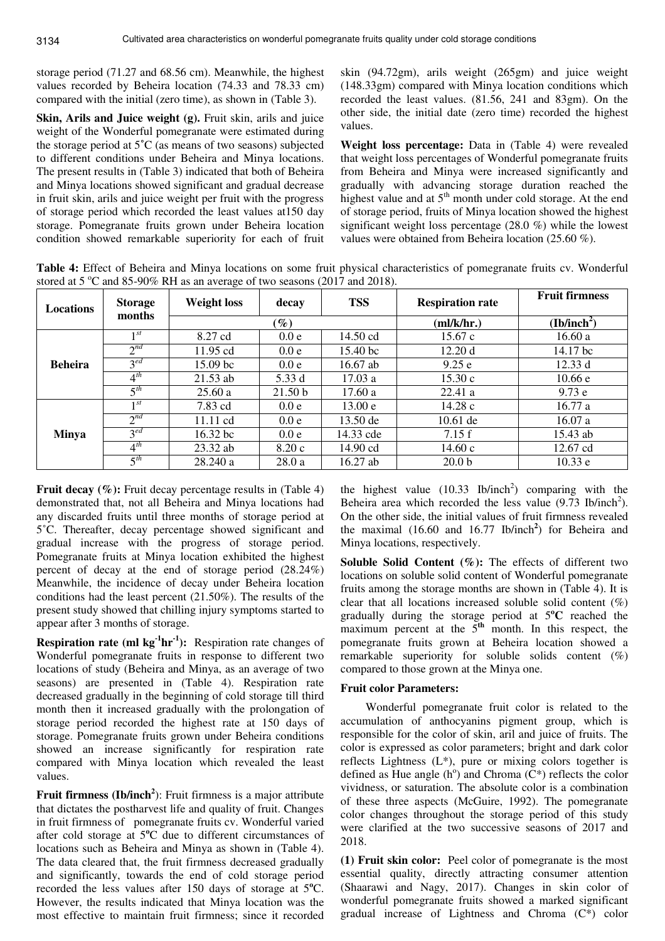storage period (71.27 and 68.56 cm). Meanwhile, the highest values recorded by Beheira location (74.33 and 78.33 cm) compared with the initial (zero time), as shown in (Table 3).

**Skin, Arils and Juice weight (g).** Fruit skin, arils and juice weight of the Wonderful pomegranate were estimated during the storage period at 5**˚**C (as means of two seasons) subjected to different conditions under Beheira and Minya locations. The present results in (Table 3) indicated that both of Beheira and Minya locations showed significant and gradual decrease in fruit skin, arils and juice weight per fruit with the progress of storage period which recorded the least values at150 day storage. Pomegranate fruits grown under Beheira location condition showed remarkable superiority for each of fruit

skin (94.72gm), arils weight (265gm) and juice weight (148.33gm) compared with Minya location conditions which recorded the least values. (81.56, 241 and 83gm). On the other side, the initial date (zero time) recorded the highest values.

**Weight loss percentage:** Data in (Table 4) were revealed that weight loss percentages of Wonderful pomegranate fruits from Beheira and Minya were increased significantly and gradually with advancing storage duration reached the highest value and at  $5<sup>th</sup>$  month under cold storage. At the end of storage period, fruits of Minya location showed the highest significant weight loss percentage (28.0 %) while the lowest values were obtained from Beheira location (25.60 %).

**Table 4:** Effect of Beheira and Minya locations on some fruit physical characteristics of pomegranate fruits cv. Wonderful stored at 5  $\degree$ C and 85-90% RH as an average of two seasons (2017 and 2018).

| <b>Locations</b> | <b>Storage</b><br>months | <b>Weight loss</b>  | decay   | <b>TSS</b> | <b>Respiration rate</b> | <b>Fruit firmness</b>   |
|------------------|--------------------------|---------------------|---------|------------|-------------------------|-------------------------|
|                  |                          |                     | $(\%)$  |            | m/k/hr.                 | (Ib/inch <sup>2</sup> ) |
|                  | $1^{st}$                 | 8.27 cd             | 0.0 e   | 14.50 cd   | 15.67c                  | 16.60a                  |
|                  | $2^{nd}$                 | $11.95$ cd          | 0.0 e   | 15.40 bc   | 12.20d                  | 14.17 bc                |
| <b>Beheira</b>   | $3^{ed}$                 | 15.09 <sub>bc</sub> | 0.0 e   | $16.67$ ab | 9.25 e                  | 12.33 d                 |
|                  | $4^{th}$                 | $21.53$ ab          | 5.33 d  | 17.03a     | 15.30c                  | 10.66 e                 |
|                  | $\zeta$ <sup>th</sup>    | 25.60a              | 21.50 b | 17.60a     | 22.41a                  | 9.73 e                  |
|                  | 1 <sup>st</sup>          | 7.83 cd             | 0.0 e   | 13.00 e    | 14.28c                  | 16.77a                  |
|                  | $2^{nd}$                 | 11.11 cd            | 0.0 e   | $13.50$ de | $10.61$ de              | 16.07a                  |
| <b>Minya</b>     | $3^{ed}$                 | $16.32$ bc          | 0.0 e   | 14.33 cde  | 7.15f                   | 15.43 ab                |
|                  | $4^{th}$                 | $23.32$ ab          | 8.20c   | $14.90$ cd | 14.60 c                 | 12.67 cd                |
|                  | $5^{th}$                 | 28.240 a            | 28.0a   | $16.27$ ab | 20.0 <sub>b</sub>       | 10.33 e                 |

**Fruit decay (%):** Fruit decay percentage results in (Table 4) demonstrated that, not all Beheira and Minya locations had any discarded fruits until three months of storage period at 5˚C. Thereafter, decay percentage showed significant and gradual increase with the progress of storage period. Pomegranate fruits at Minya location exhibited the highest percent of decay at the end of storage period (28.24%) Meanwhile, the incidence of decay under Beheira location conditions had the least percent (21.50%). The results of the present study showed that chilling injury symptoms started to appear after 3 months of storage.

**Respiration rate (ml kg**<sup> $1$ </sup>**hr**<sup> $1$ </sup>): Respiration rate changes of Wonderful pomegranate fruits in response to different two locations of study (Beheira and Minya, as an average of two seasons) are presented in (Table 4). Respiration rate decreased gradually in the beginning of cold storage till third month then it increased gradually with the prolongation of storage period recorded the highest rate at 150 days of storage. Pomegranate fruits grown under Beheira conditions showed an increase significantly for respiration rate compared with Minya location which revealed the least values.

**Fruit firmness (Ib/inch<sup>2</sup>):** Fruit firmness is a major attribute that dictates the postharvest life and quality of fruit. Changes in fruit firmness of pomegranate fruits cv. Wonderful varied after cold storage at 5**<sup>o</sup>**C due to different circumstances of locations such as Beheira and Minya as shown in (Table 4). The data cleared that, the fruit firmness decreased gradually and significantly, towards the end of cold storage period recorded the less values after 150 days of storage at 5**<sup>o</sup>**C. However, the results indicated that Minya location was the most effective to maintain fruit firmness; since it recorded

the highest value  $(10.33 \text{ Ib/inch}^2)$  comparing with the Beheira area which recorded the less value  $(9.73 \text{ Ib/inch}^2)$ . On the other side, the initial values of fruit firmness revealed the maximal (16.60 and 16.77 Ib/inch**<sup>2</sup>** ) for Beheira and Minya locations, respectively.

Soluble Solid Content (%): The effects of different two locations on soluble solid content of Wonderful pomegranate fruits among the storage months are shown in (Table 4). It is clear that all locations increased soluble solid content (%) gradually during the storage period at 5**<sup>o</sup>C** reached the maximum percent at the  $5<sup>th</sup>$  month. In this respect, the pomegranate fruits grown at Beheira location showed a remarkable superiority for soluble solids content (%) compared to those grown at the Minya one.

## **Fruit color Parameters:**

Wonderful pomegranate fruit color is related to the accumulation of anthocyanins pigment group, which is responsible for the color of skin, aril and juice of fruits. The color is expressed as color parameters; bright and dark color reflects Lightness  $(L^*)$ , pure or mixing colors together is defined as Hue angle  $(h^{\circ})$  and Chroma  $(C^*)$  reflects the color vividness, or saturation. The absolute color is a combination of these three aspects (McGuire, 1992). The pomegranate color changes throughout the storage period of this study were clarified at the two successive seasons of 2017 and 2018.

**(1) Fruit skin color:** Peel color of pomegranate is the most essential quality, directly attracting consumer attention (Shaarawi and Nagy, 2017). Changes in skin color of wonderful pomegranate fruits showed a marked significant gradual increase of Lightness and Chroma (C\*) color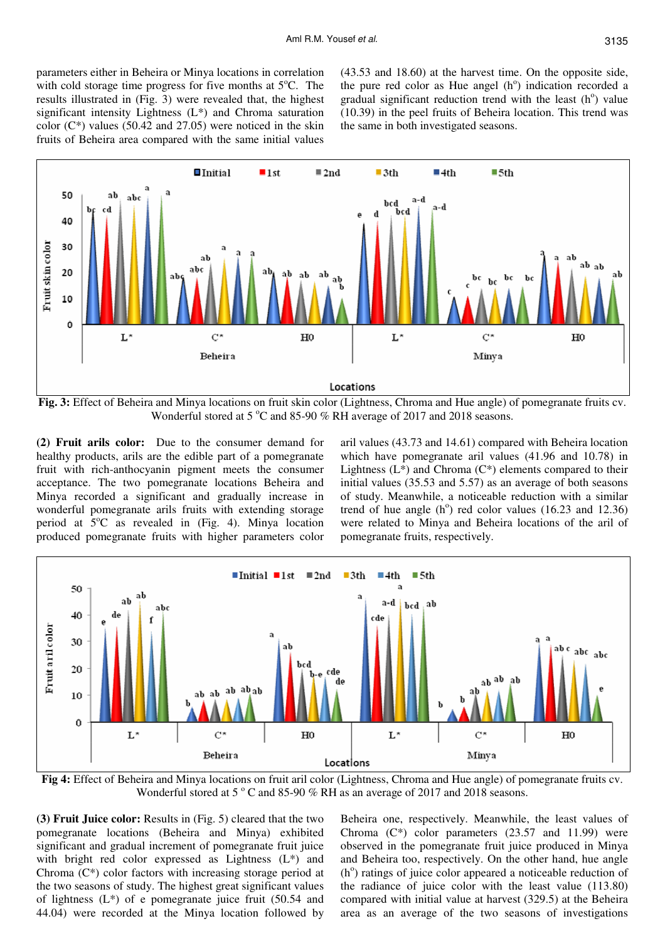parameters either in Beheira or Minya locations in correlation with cold storage time progress for five months at  $5^{\circ}$ C. The results illustrated in (Fig. 3) were revealed that, the highest significant intensity Lightness (L\*) and Chroma saturation color  $(C^*)$  values (50.42 and 27.05) were noticed in the skin fruits of Beheira area compared with the same initial values

(43.53 and 18.60) at the harvest time. On the opposite side, the pure red color as Hue angel  $(h^{\circ})$  indication recorded a gradual significant reduction trend with the least  $(h^{\circ})$  value (10.39) in the peel fruits of Beheira location. This trend was the same in both investigated seasons.



**Fig. 3:** Effect of Beheira and Minya locations on fruit skin color (Lightness, Chroma and Hue angle) of pomegranate fruits cv. Wonderful stored at 5  $\degree$ C and 85-90 % RH average of 2017 and 2018 seasons.

**(2) Fruit arils color:** Due to the consumer demand for healthy products, arils are the edible part of a pomegranate fruit with rich-anthocyanin pigment meets the consumer acceptance. The two pomegranate locations Beheira and Minya recorded a significant and gradually increase in wonderful pomegranate arils fruits with extending storage period at  $5^{\circ}$ C as revealed in (Fig. 4). Minya location produced pomegranate fruits with higher parameters color

aril values (43.73 and 14.61) compared with Beheira location which have pomegranate aril values (41.96 and 10.78) in Lightness  $(L^*)$  and Chroma  $(C^*)$  elements compared to their initial values (35.53 and 5.57) as an average of both seasons of study. Meanwhile, a noticeable reduction with a similar trend of hue angle  $(h^{\circ})$  red color values (16.23 and 12.36) were related to Minya and Beheira locations of the aril of pomegranate fruits, respectively.



**Fig 4:** Effect of Beheira and Minya locations on fruit aril color (Lightness, Chroma and Hue angle) of pomegranate fruits cv. Wonderful stored at 5 $\degree$ C and 85-90 % RH as an average of 2017 and 2018 seasons.

**(3) Fruit Juice color:** Results in (Fig. 5) cleared that the two pomegranate locations (Beheira and Minya) exhibited significant and gradual increment of pomegranate fruit juice with bright red color expressed as Lightness (L\*) and Chroma (C\*) color factors with increasing storage period at the two seasons of study. The highest great significant values of lightness  $(L^*)$  of e pomegranate juice fruit  $(50.54 \text{ and }$ 44.04) were recorded at the Minya location followed by

Beheira one, respectively. Meanwhile, the least values of Chroma  $(C^*)$  color parameters  $(23.57 \text{ and } 11.99)$  were observed in the pomegranate fruit juice produced in Minya and Beheira too, respectively. On the other hand, hue angle (h<sup>o</sup>) ratings of juice color appeared a noticeable reduction of the radiance of juice color with the least value (113.80) compared with initial value at harvest (329.5) at the Beheira area as an average of the two seasons of investigations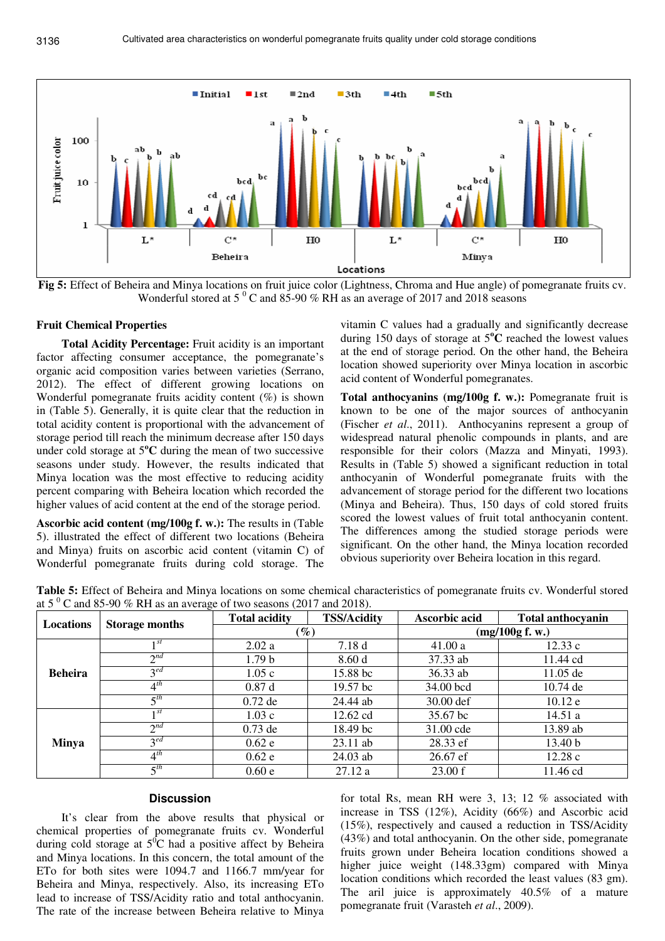

**Fig 5:** Effect of Beheira and Minya locations on fruit juice color (Lightness, Chroma and Hue angle) of pomegranate fruits cv. Wonderful stored at 5 $\degree$ C and 85-90 % RH as an average of 2017 and 2018 seasons

#### **Fruit Chemical Properties**

**Total Acidity Percentage:** Fruit acidity is an important factor affecting consumer acceptance, the pomegranate's organic acid composition varies between varieties (Serrano, 2012). The effect of different growing locations on Wonderful pomegranate fruits acidity content (%) is shown in (Table 5). Generally, it is quite clear that the reduction in total acidity content is proportional with the advancement of storage period till reach the minimum decrease after 150 days under cold storage at 5**<sup>o</sup>C** during the mean of two successive seasons under study. However, the results indicated that Minya location was the most effective to reducing acidity percent comparing with Beheira location which recorded the higher values of acid content at the end of the storage period.

**Ascorbic acid content (mg/100g f. w.):** The results in (Table 5). illustrated the effect of different two locations (Beheira and Minya) fruits on ascorbic acid content (vitamin C) of Wonderful pomegranate fruits during cold storage. The

vitamin C values had a gradually and significantly decrease during 150 days of storage at 5**<sup>o</sup>C** reached the lowest values at the end of storage period. On the other hand, the Beheira location showed superiority over Minya location in ascorbic acid content of Wonderful pomegranates.

**Total anthocyanins (mg/100g f. w.):** Pomegranate fruit is known to be one of the major sources of anthocyanin (Fischer *et al*., 2011). Anthocyanins represent a group of widespread natural phenolic compounds in plants, and are responsible for their colors (Mazza and Minyati, 1993). Results in (Table 5) showed a significant reduction in total anthocyanin of Wonderful pomegranate fruits with the advancement of storage period for the different two locations (Minya and Beheira). Thus, 150 days of cold stored fruits scored the lowest values of fruit total anthocyanin content. The differences among the studied storage periods were significant. On the other hand, the Minya location recorded obvious superiority over Beheira location in this regard.

**Table 5:** Effect of Beheira and Minya locations on some chemical characteristics of pomegranate fruits cv. Wonderful stored at 5 $\mathrm{^{0}}$  C and 85-90 % RH as an average of two seasons (2017 and 2018).

| <b>Locations</b> | ັ                      | <b>Total acidity</b> | <b>TSS/Acidity</b>  | Ascorbic acid   | <b>Total anthocyanin</b> |  |
|------------------|------------------------|----------------------|---------------------|-----------------|--------------------------|--|
|                  | <b>Storage months</b>  |                      | $\mathscr{G}_o$     | (mg/100g f. w.) |                          |  |
| <b>Beheira</b>   | 1 <sup>st</sup>        | 2.02a                | 7.18d               | 41.00a          | 12.33c                   |  |
|                  | $2^{nd}$               | 1.79 <sub>b</sub>    | 8.60d               | 37.33 ab        | 11.44 cd                 |  |
|                  | $3^{ed}$               | 1.05c                | 15.88 bc            | 36.33 ab        | $11.05$ de               |  |
|                  | $4^{th}$               | 0.87d                | 19.57 <sub>bc</sub> | 34.00 bcd       | $10.74$ de               |  |
|                  | $\leq$ th              | $0.72$ de            | 24.44 ab            | 30.00 def       | 10.12 e                  |  |
| <b>Minya</b>     | 1st                    | 1.03c                | 12.62 cd            | 35.67 bc        | 14.51a                   |  |
|                  | $\gamma$ <sup>nd</sup> | $0.73$ de            | 18.49 bc            | 31.00 cde       | 13.89 ab                 |  |
|                  | $3^{ed}$               | 0.62e                | $23.11$ ab          | 28.33 ef        | 13.40 <sub>b</sub>       |  |
|                  | $4^{th}$               | 0.62e                | 24.03 ab            | 26.67 ef        | 12.28c                   |  |
|                  | $\zeta$ <sup>th</sup>  | 0.60e                | 27.12a              | 23.00 f         | 11.46 cd                 |  |

## **Discussion**

It's clear from the above results that physical or chemical properties of pomegranate fruits cv. Wonderful during cold storage at  $5^0C$  had a positive affect by Beheira and Minya locations. In this concern, the total amount of the ETo for both sites were 1094.7 and 1166.7 mm/year for Beheira and Minya, respectively. Also, its increasing ETo lead to increase of TSS/Acidity ratio and total anthocyanin. The rate of the increase between Beheira relative to Minya

for total Rs, mean RH were 3, 13; 12 % associated with increase in TSS (12%), Acidity (66%) and Ascorbic acid (15%), respectively and caused a reduction in TSS/Acidity (43%) and total anthocyanin. On the other side, pomegranate fruits grown under Beheira location conditions showed a higher juice weight (148.33gm) compared with Minya location conditions which recorded the least values (83 gm). The aril juice is approximately 40.5% of a mature pomegranate fruit (Varasteh *et al*., 2009).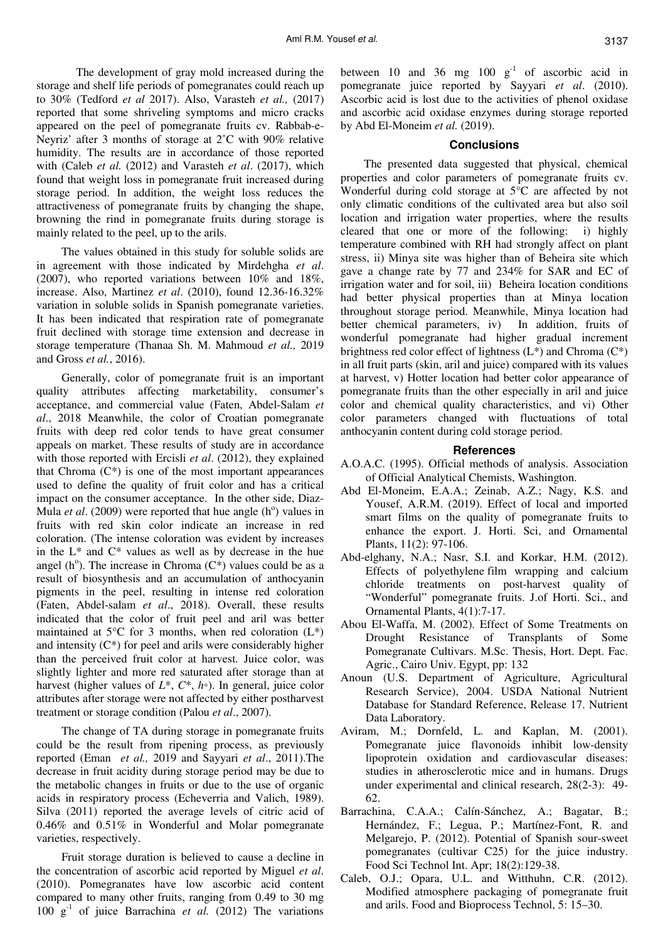The development of gray mold increased during the storage and shelf life periods of pomegranates could reach up to 30% (Tedford *et al* 2017). Also, Varasteh *et al.,* (2017) reported that some shriveling symptoms and micro cracks appeared on the peel of pomegranate fruits cv. Rabbab-e-Neyriz' after 3 months of storage at 2˚C with 90% relative humidity. The results are in accordance of those reported with (Caleb *et al.* (2012) and Varasteh *et al*. (2017), which found that weight loss in pomegranate fruit increased during storage period. In addition, the weight loss reduces the attractiveness of pomegranate fruits by changing the shape, browning the rind in pomegranate fruits during storage is mainly related to the peel, up to the arils.

The values obtained in this study for soluble solids are in agreement with those indicated by Mirdehgha *et al*. (2007), who reported variations between 10% and 18%, increase. Also, Martinez *et al*. (2010), found 12.36-16.32% variation in soluble solids in Spanish pomegranate varieties. It has been indicated that respiration rate of pomegranate fruit declined with storage time extension and decrease in storage temperature (Thanaa Sh. M. Mahmoud *et al.,* 2019 and Gross *et al.*, 2016).

Generally, color of pomegranate fruit is an important quality attributes affecting marketability, consumer's acceptance, and commercial value (Faten, Abdel-Salam *et al*., 2018 Meanwhile, the color of Croatian pomegranate fruits with deep red color tends to have great consumer appeals on market. These results of study are in accordance with those reported with Ercisli *et al*. (2012), they explained that Chroma  $(C^*)$  is one of the most important appearances used to define the quality of fruit color and has a critical impact on the consumer acceptance. In the other side, Diaz-Mula *et al.* (2009) were reported that hue angle (h<sup>o</sup>) values in fruits with red skin color indicate an increase in red coloration. (The intense coloration was evident by increases in the  $L^*$  and  $C^*$  values as well as by decrease in the hue angel (h<sup>o</sup>). The increase in Chroma  $(C^*)$  values could be as a result of biosynthesis and an accumulation of anthocyanin pigments in the peel, resulting in intense red coloration (Faten, Abdel-salam *et al*., 2018). Overall, these results indicated that the color of fruit peel and aril was better maintained at  $5^{\circ}$ C for 3 months, when red coloration  $(L^*)$ and intensity (C\*) for peel and arils were considerably higher than the perceived fruit color at harvest. Juice color, was slightly lighter and more red saturated after storage than at harvest (higher values of *L*\*, *C*\*, *h*◦). In general, juice color attributes after storage were not affected by either postharvest treatment or storage condition (Palou *et al*., 2007).

The change of TA during storage in pomegranate fruits could be the result from ripening process, as previously reported (Eman *et al.,* 2019 and Sayyari *et al*., 2011).The decrease in fruit acidity during storage period may be due to the metabolic changes in fruits or due to the use of organic acids in respiratory process (Echeverria and Valich, 1989). Silva (2011) reported the average levels of citric acid of 0.46% and 0.51% in Wonderful and Molar pomegranate varieties, respectively.

Fruit storage duration is believed to cause a decline in the concentration of ascorbic acid reported by Miguel *et al*. (2010). Pomegranates have low ascorbic acid content compared to many other fruits, ranging from 0.49 to 30 mg 100  $g^{-1}$  of juice Barrachina *et al.* (2012) The variations between 10 and 36 mg 100  $g^{-1}$  of ascorbic acid in pomegranate juice reported by Sayyari *et al*. (2010). Ascorbic acid is lost due to the activities of phenol oxidase and ascorbic acid oxidase enzymes during storage reported by Abd El-Moneim *et al.* (2019).

## **Conclusions**

 The presented data suggested that physical, chemical properties and color parameters of pomegranate fruits cv. Wonderful during cold storage at 5°C are affected by not only climatic conditions of the cultivated area but also soil location and irrigation water properties, where the results cleared that one or more of the following: i) highly temperature combined with RH had strongly affect on plant stress, ii) Minya site was higher than of Beheira site which gave a change rate by 77 and 234% for SAR and EC of irrigation water and for soil, iii) Beheira location conditions had better physical properties than at Minya location throughout storage period. Meanwhile, Minya location had better chemical parameters, iv) In addition, fruits of wonderful pomegranate had higher gradual increment brightness red color effect of lightness  $(L^*)$  and Chroma  $(C^*)$ in all fruit parts (skin, aril and juice) compared with its values at harvest, v) Hotter location had better color appearance of pomegranate fruits than the other especially in aril and juice color and chemical quality characteristics, and vi) Other color parameters changed with fluctuations of total anthocyanin content during cold storage period.

#### **References**

- A.O.A.C. (1995). Official methods of analysis. Association of Official Analytical Chemists, Washington.
- Abd El-Moneim, E.A.A.; Zeinab, A.Z.; Nagy, K.S. and Yousef, A.R.M. (2019). Effect of local and imported smart films on the quality of pomegranate fruits to enhance the export. J. Horti. Sci, and Ornamental Plants, 11(2): 97-106.
- Abd-elghany, N.A.; Nasr, S.I. and Korkar, H.M. (2012). Effects of polyethylene film wrapping and calcium chloride treatments on post-harvest quality of "Wonderful" pomegranate fruits. J.of Horti. Sci., and Ornamental Plants, 4(1):7-17.
- Abou El-Waffa, M. (2002). Effect of Some Treatments on Drought Resistance of Transplants of Some Pomegranate Cultivars. M.Sc. Thesis, Hort. Dept. Fac. Agric., Cairo Univ. Egypt, pp: 132
- Anoun (U.S. Department of Agriculture, Agricultural Research Service), 2004. USDA National Nutrient Database for Standard Reference, Release 17. Nutrient Data Laboratory.
- Aviram, M.; Dornfeld, L. and Kaplan, M. (2001). Pomegranate juice flavonoids inhibit low-density lipoprotein oxidation and cardiovascular diseases: studies in atherosclerotic mice and in humans. Drugs under experimental and clinical research, 28(2-3): 49- 62.
- Barrachina, C.A.A.; Calín-Sánchez, A.; Bagatar, B.; Hernández, F.; Legua, P.; Martínez-Font, R. and Melgarejo, P. (2012). Potential of Spanish sour-sweet pomegranates (cultivar C25) for the juice industry. Food Sci Technol Int. Apr; 18(2):129-38.
- Caleb, O.J.; Opara, U.L. and Witthuhn, C.R. (2012). Modified atmosphere packaging of pomegranate fruit and arils. Food and Bioprocess Technol, 5: 15–30.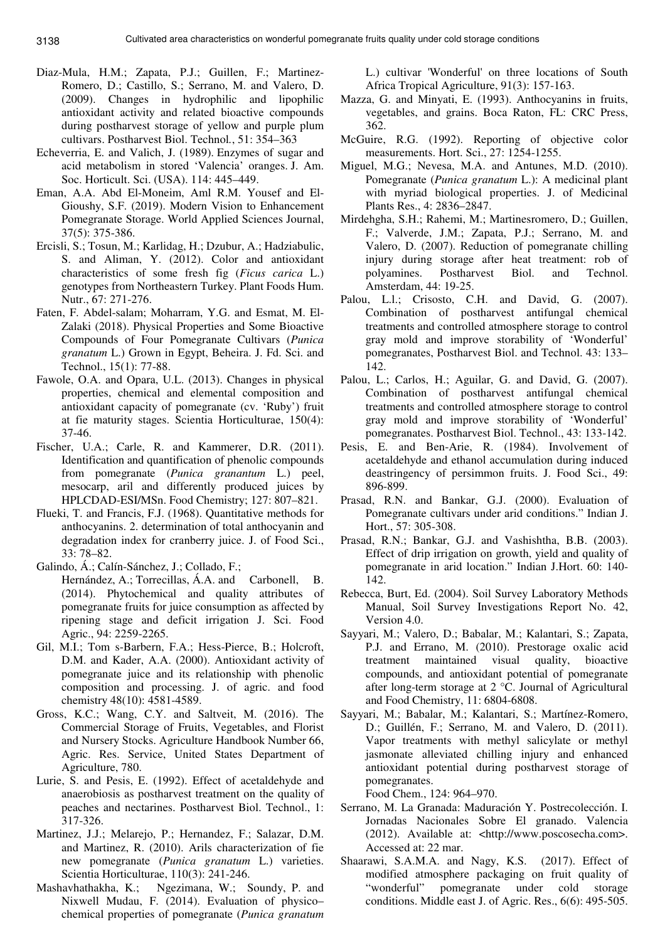- Diaz-Mula, H.M.; Zapata, P.J.; Guillen, F.; Martinez-Romero, D.; Castillo, S.; Serrano, M. and Valero, D. (2009). Changes in hydrophilic and lipophilic antioxidant activity and related bioactive compounds during postharvest storage of yellow and purple plum cultivars. Postharvest Biol. Technol*.*, 51: 354–363
- Echeverria, E. and Valich, J. (1989). Enzymes of sugar and acid metabolism in stored 'Valencia' oranges. J. Am. Soc. Horticult. Sci. (USA). 114: 445–449.
- Eman, A.A. Abd El-Moneim, Aml R.M. Yousef and El-Gioushy, S.F. (2019). Modern Vision to Enhancement Pomegranate Storage. World Applied Sciences Journal, 37(5): 375-386.
- Ercisli, S.; Tosun, M.; Karlidag, H.; Dzubur, A.; Hadziabulic, S. and Aliman, Y. (2012). Color and antioxidant characteristics of some fresh fig (*Ficus carica* L.) genotypes from Northeastern Turkey. Plant Foods Hum. Nutr., 67: 271-276.
- Faten, F. Abdel-salam; Moharram, Y.G. and Esmat, M. El-Zalaki (2018). Physical Properties and Some Bioactive Compounds of Four Pomegranate Cultivars (*Punica granatum* L.) Grown in Egypt, Beheira. J. Fd. Sci. and Technol., 15(1): 77-88.
- Fawole, O.A. and Opara, U.L. (2013). Changes in physical properties, chemical and elemental composition and antioxidant capacity of pomegranate (cv. 'Ruby') fruit at fie maturity stages. Scientia Horticulturae, 150(4): 37-46.
- Fischer, U.A.; Carle, R. and Kammerer, D.R. (2011). Identification and quantification of phenolic compounds from pomegranate (*Punica granantum* L.) peel, mesocarp, aril and differently produced juices by HPLCDAD-ESI/MSn. Food Chemistry; 127: 807–821.
- Flueki, T. and Francis, F.J. (1968). Quantitative methods for anthocyanins. 2. determination of total anthocyanin and degradation index for cranberry juice. J. of Food Sci., 33: 78–82.
- Galindo, Á.; Calín-Sánchez, J.; Collado, F.;
	- Hernández, A.; Torrecillas, Á.A. and Carbonell, B. (2014). Phytochemical and quality attributes of pomegranate fruits for juice consumption as affected by ripening stage and deficit irrigation J. Sci. Food Agric., 94: 2259-2265.
- Gil, M.I.; Tom s-Barbern, F.A.; Hess-Pierce, B.; Holcroft, D.M. and Kader, A.A. (2000). Antioxidant activity of pomegranate juice and its relationship with phenolic composition and processing. J. of agric. and food chemistry 48(10): 4581-4589.
- Gross, K.C.; Wang, C.Y. and Saltveit, M. (2016). The Commercial Storage of Fruits, Vegetables, and Florist and Nursery Stocks. Agriculture Handbook Number 66, Agric. Res. Service, United States Department of Agriculture, 780.
- Lurie, S. and Pesis, E. (1992). Effect of acetaldehyde and anaerobiosis as postharvest treatment on the quality of peaches and nectarines. Postharvest Biol. Technol., 1: 317-326.
- Martinez, J.J.; Melarejo, P.; Hernandez, F.; Salazar, D.M. and Martinez, R. (2010). Arils characterization of fie new pomegranate (*Punica granatum* L.) varieties. Scientia Horticulturae, 110(3): 241-246.
- Mashavhathakha, K.; Ngezimana, W.; Soundy, P. and Nixwell Mudau, F. (2014). Evaluation of physico– chemical properties of pomegranate (*Punica granatum*

L.) cultivar 'Wonderful' on three locations of South Africa Tropical Agriculture, 91(3): 157-163.

- Mazza, G. and Minyati, E. (1993). Anthocyanins in fruits, vegetables, and grains. Boca Raton, FL: CRC Press, 362.
- McGuire, R.G. (1992). Reporting of objective color measurements. Hort. Sci., 27: 1254-1255.
- Miguel, M.G.; Nevesa, M.A. and Antunes, M.D. (2010). Pomegranate (*Punica granatum* L.): A medicinal plant with myriad biological properties. J. of Medicinal Plants Res., 4: 2836–2847.
- Mirdehgha, S.H.; Rahemi, M.; Martinesromero, D.; Guillen, F.; Valverde, J.M.; Zapata, P.J.; Serrano, M. and Valero, D. (2007). Reduction of pomegranate chilling injury during storage after heat treatment: rob of polyamines. Postharvest Biol. and Technol. Amsterdam, 44: 19-25.
- Palou, L.l.; Crisosto, C.H. and David, G. (2007). Combination of postharvest antifungal chemical treatments and controlled atmosphere storage to control gray mold and improve storability of 'Wonderful' pomegranates, Postharvest Biol. and Technol. 43: 133– 142.
- Palou, L.; Carlos, H.; Aguilar, G. and David, G. (2007). Combination of postharvest antifungal chemical treatments and controlled atmosphere storage to control gray mold and improve storability of 'Wonderful' pomegranates. Postharvest Biol. Technol., 43: 133-142.
- Pesis, E. and Ben-Arie, R. (1984). Involvement of acetaldehyde and ethanol accumulation during induced deastringency of persimmon fruits. J. Food Sci., 49: 896-899.
- Prasad, R.N. and Bankar, G.J. (2000). Evaluation of Pomegranate cultivars under arid conditions." Indian J. Hort., 57: 305-308.
- Prasad, R.N.; Bankar, G.J. and Vashishtha, B.B. (2003). Effect of drip irrigation on growth, yield and quality of pomegranate in arid location." Indian J.Hort. 60: 140- 142.
- Rebecca, Burt, Ed. (2004). Soil Survey Laboratory Methods Manual, Soil Survey Investigations Report No. 42, Version 4.0.
- Sayyari, M.; Valero, D.; Babalar, M.; Kalantari, S.; Zapata, P.J. and Errano, M. (2010). Prestorage oxalic acid treatment maintained visual quality, bioactive compounds, and antioxidant potential of pomegranate after long-term storage at 2 °C. Journal of Agricultural and Food Chemistry, 11: 6804-6808.
- Sayyari, M.; Babalar, M.; Kalantari, S.; Martínez-Romero, D.; Guillén, F.; Serrano, M. and Valero, D. (2011). Vapor treatments with methyl salicylate or methyl jasmonate alleviated chilling injury and enhanced antioxidant potential during postharvest storage of pomegranates.

Food Chem., 124: 964–970.

- Serrano, M. La Granada: Maduración Y. Postrecolección. I. Jornadas Nacionales Sobre El granado. Valencia (2012). Available at: <http://www.poscosecha.com>. Accessed at: 22 mar.
- Shaarawi, S.A.M.A. and Nagy, K.S. (2017). Effect of modified atmosphere packaging on fruit quality of "wonderful" pomegranate under cold storage conditions. Middle east J. of Agric. Res., 6(6): 495-505.